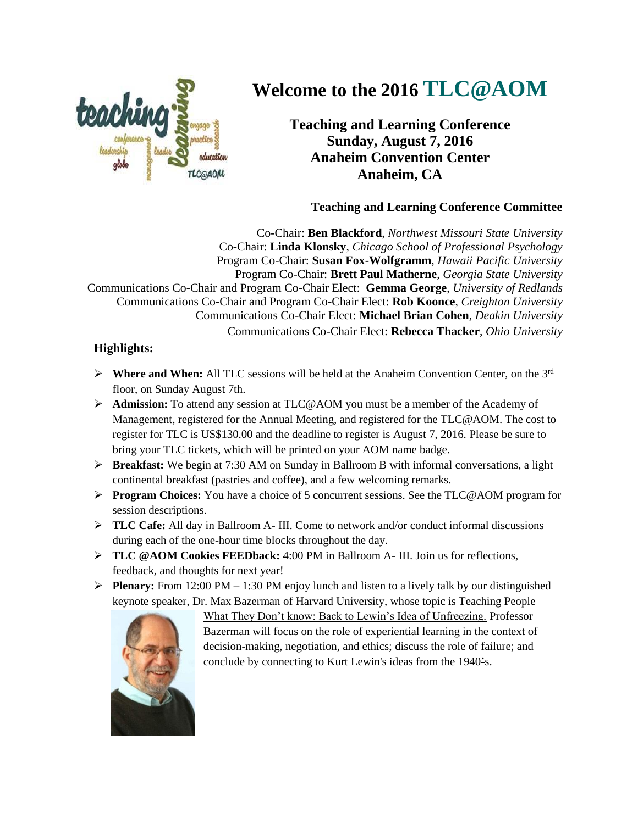

## **Welcome to the 2016 TLC@AOM**

**Teaching and Learning Conference Sunday, August 7, 2016 Anaheim Convention Center Anaheim, CA**

## **Teaching and Learning Conference Committee**

Co-Chair: **Ben Blackford**, *Northwest Missouri State University* Co-Chair: **Linda Klonsky**, *Chicago School of Professional Psychology* Program Co-Chair: **Susan Fox-Wolfgramm**, *Hawaii Pacific University* Program Co-Chair: **Brett Paul Matherne**, *Georgia State University* Communications Co-Chair and Program Co-Chair Elect: **Gemma George**, *University of Redlands* Communications Co-Chair and Program Co-Chair Elect: **Rob Koonce**, *Creighton University* Communications Co-Chair Elect: **Michael Brian Cohen**, *Deakin University* Communications Co-Chair Elect: **Rebecca Thacker**, *Ohio University*

## **Highlights:**

- **Where and When:** All TLC sessions will be held at the Anaheim Convention Center, on the  $3<sup>rd</sup>$ floor, on Sunday August 7th.
- **Admission:** To attend any session at TLC@AOM you must be a member of the Academy of Management, registered for the Annual Meeting, and registered for the TLC@AOM. The cost to register for TLC is US\$130.00 and the deadline to register is August 7, 2016. Please be sure to bring your TLC tickets, which will be printed on your AOM name badge.
- **Breakfast:** We begin at 7:30 AM on Sunday in Ballroom B with informal conversations, a light continental breakfast (pastries and coffee), and a few welcoming remarks.
- **Program Choices:** You have a choice of 5 concurrent sessions. See the TLC@AOM program for session descriptions.
- **TLC Cafe:** All day in Ballroom A- III. Come to network and/or conduct informal discussions during each of the one-hour time blocks throughout the day.
- **TLC @AOM Cookies FEEDback:** 4:00 PM in Ballroom A- III. Join us for reflections, feedback, and thoughts for next year!
- **Plenary:** From 12:00 PM 1:30 PM enjoy lunch and listen to a lively talk by our distinguished keynote speaker, Dr. Max Bazerman of Harvard University, whose topic is Teaching People



What They Don't know: Back to Lewin's Idea of Unfreezing. Professor Bazerman will focus on the role of experiential learning in the context of decision-making, negotiation, and ethics; discuss the role of failure; and conclude by connecting to Kurt Lewin's ideas from the 1940's.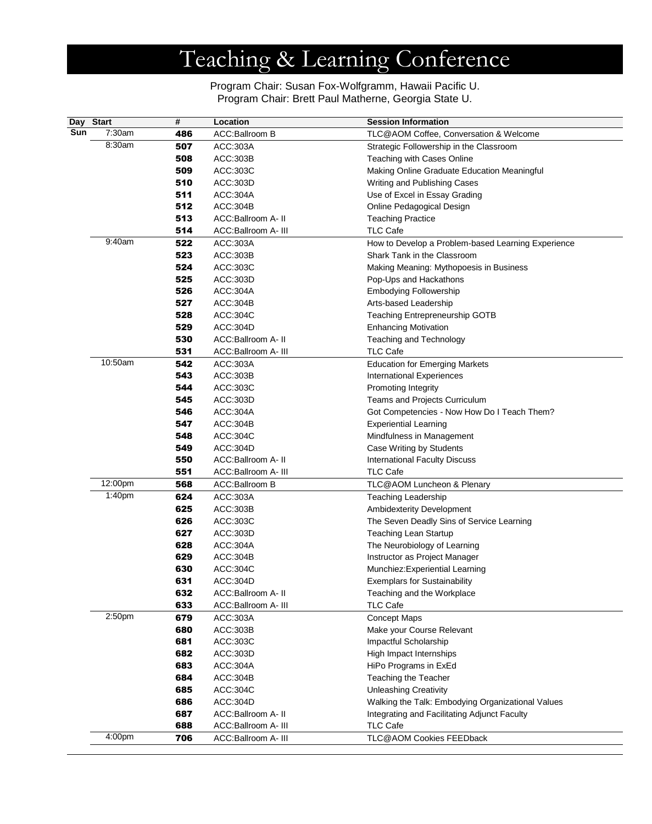# Teaching & Learning Conference

Program Chair: Susan Fox-Wolfgramm, Hawaii Pacific U. Program Chair: Brett Paul Matherne, Georgia State U.

|     | Day Start | $\overline{\boldsymbol{t}}$ | Location                                  | <b>Session Information</b>                         |
|-----|-----------|-----------------------------|-------------------------------------------|----------------------------------------------------|
| Sun | 7:30am    | 486                         | ACC:Ballroom B                            | TLC@AOM Coffee, Conversation & Welcome             |
|     | 8:30am    | 507                         | ACC:303A                                  | Strategic Followership in the Classroom            |
|     |           | 508                         | ACC:303B                                  | Teaching with Cases Online                         |
|     |           | 509                         | ACC:303C                                  | Making Online Graduate Education Meaningful        |
|     |           | 510                         | ACC:303D                                  | Writing and Publishing Cases                       |
|     |           | 511                         | ACC:304A                                  | Use of Excel in Essay Grading                      |
|     |           | 512                         | ACC:304B                                  | Online Pedagogical Design                          |
|     |           | 513                         | ACC:Ballroom A- II                        | <b>Teaching Practice</b>                           |
|     |           | 514                         | ACC:Ballroom A- III                       | <b>TLC Cafe</b>                                    |
|     | 9:40am    | 522                         | ACC:303A                                  | How to Develop a Problem-based Learning Experience |
|     |           | 523                         | ACC:303B                                  | Shark Tank in the Classroom                        |
|     |           | 524                         | ACC:303C                                  | Making Meaning: Mythopoesis in Business            |
|     |           | 525                         | ACC:303D                                  | Pop-Ups and Hackathons                             |
|     |           | 526                         | ACC:304A                                  | <b>Embodying Followership</b>                      |
|     |           | 527                         | ACC:304B                                  | Arts-based Leadership                              |
|     |           | 528                         | ACC:304C                                  | Teaching Entrepreneurship GOTB                     |
|     |           | 529                         | ACC:304D                                  | <b>Enhancing Motivation</b>                        |
|     |           | 530                         | ACC:Ballroom A- II                        | <b>Teaching and Technology</b>                     |
|     |           | 531                         | ACC:Ballroom A- III                       | <b>TLC Cafe</b>                                    |
|     | 10:50am   | 542                         | ACC:303A                                  | <b>Education for Emerging Markets</b>              |
|     |           | 543                         | ACC:303B                                  | <b>International Experiences</b>                   |
|     |           | 544                         | ACC:303C                                  | <b>Promoting Integrity</b>                         |
|     |           | 545                         | ACC:303D                                  | Teams and Projects Curriculum                      |
|     |           | 546                         | ACC:304A                                  | Got Competencies - Now How Do I Teach Them?        |
|     |           | 547                         | ACC:304B                                  | <b>Experiential Learning</b>                       |
|     |           | 548                         | ACC:304C                                  | Mindfulness in Management                          |
|     |           | 549                         | ACC:304D                                  | Case Writing by Students                           |
|     |           | 550                         | ACC:Ballroom A- II                        | <b>International Faculty Discuss</b>               |
|     |           | 551                         | ACC:Ballroom A- III                       | <b>TLC Cafe</b>                                    |
|     | 12:00pm   | 568                         | ACC:Ballroom B                            | TLC@AOM Luncheon & Plenary                         |
|     | 1:40pm    | 624                         | ACC:303A                                  | <b>Teaching Leadership</b>                         |
|     |           | 625                         | ACC:303B                                  | Ambidexterity Development                          |
|     |           | 626                         | ACC:303C                                  | The Seven Deadly Sins of Service Learning          |
|     |           | 627                         | ACC:303D                                  | <b>Teaching Lean Startup</b>                       |
|     |           | 628                         | ACC:304A                                  | The Neurobiology of Learning                       |
|     |           | 629                         | ACC:304B                                  | Instructor as Project Manager                      |
|     |           | 630                         | ACC:304C                                  | Munchiez: Experiential Learning                    |
|     |           | 631                         | ACC:304D                                  | <b>Exemplars for Sustainability</b>                |
|     |           | 632<br>633                  | ACC:Ballroom A- II<br>ACC:Ballroom A- III | Teaching and the Workplace<br><b>TLC Cafe</b>      |
|     | 2:50pm    | 679                         | ACC:303A                                  | <b>Concept Maps</b>                                |
|     |           | 680                         | ACC:303B                                  | Make your Course Relevant                          |
|     |           | 681                         | ACC:303C                                  | Impactful Scholarship                              |
|     |           | 682                         | ACC:303D                                  | High Impact Internships                            |
|     |           | 683                         | ACC:304A                                  | HiPo Programs in ExEd                              |
|     |           | 684                         | ACC:304B                                  | Teaching the Teacher                               |
|     |           | 685                         | ACC:304C                                  | <b>Unleashing Creativity</b>                       |
|     |           | 686                         | ACC:304D                                  | Walking the Talk: Embodying Organizational Values  |
|     |           | 687                         | ACC:Ballroom A- II                        | Integrating and Facilitating Adjunct Faculty       |
|     |           | 688                         | ACC:Ballroom A- III                       | <b>TLC Cafe</b>                                    |
|     | 4:00pm    | 706                         | ACC:Ballroom A- III                       | TLC@AOM Cookies FEEDback                           |
|     |           |                             |                                           |                                                    |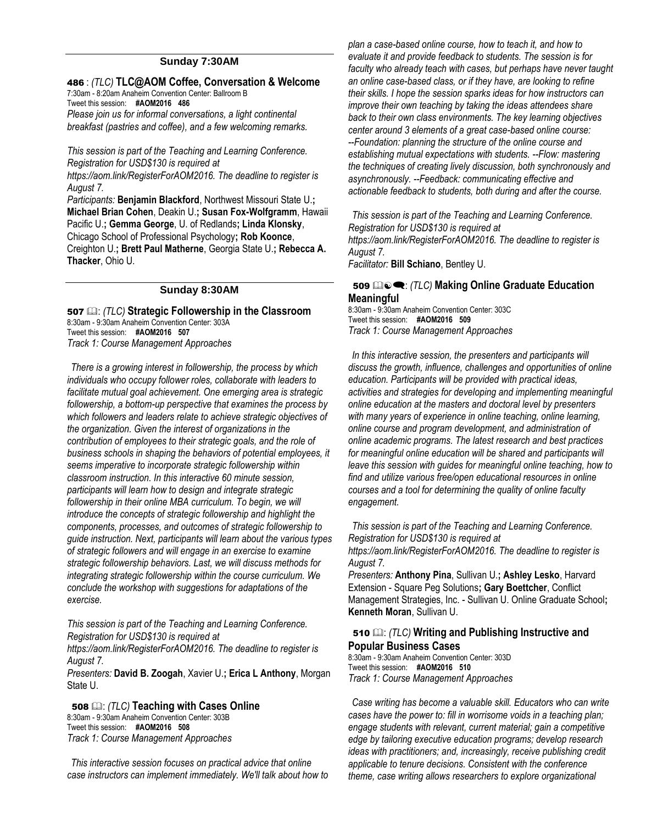#### **Sunday 7:30AM**

#### 486 : *(TLC)* **TLC@AOM Coffee, Conversation & Welcome** 7:30am - 8:20am Anaheim Convention Center: Ballroom B

Tweet this session: **#AOM2016 486**

*Please join us for informal conversations, a light continental breakfast (pastries and coffee), and a few welcoming remarks.*

*This session is part of the Teaching and Learning Conference. Registration for USD\$130 is required at https://aom.link/RegisterForAOM2016. The deadline to register is August 7.*

*Participants:* **Benjamin Blackford**, Northwest Missouri State U.**; Michael Brian Cohen**, Deakin U.**; Susan Fox-Wolfgramm**, Hawaii Pacific U.**; Gemma George**, U. of Redlands**; Linda Klonsky**, Chicago School of Professional Psychology**; Rob Koonce**, Creighton U.**; Brett Paul Matherne**, Georgia State U.**; Rebecca A. Thacker**, Ohio U.

#### **Sunday 8:30AM**

507 : *(TLC)* **Strategic Followership in the Classroom** 8:30am - 9:30am Anaheim Convention Center: 303A Tweet this session: **#AOM2016 507** *Track 1: Course Management Approaches*

*There is a growing interest in followership, the process by which individuals who occupy follower roles, collaborate with leaders to facilitate mutual goal achievement. One emerging area is strategic followership, a bottom-up perspective that examines the process by which followers and leaders relate to achieve strategic objectives of the organization. Given the interest of organizations in the contribution of employees to their strategic goals, and the role of business schools in shaping the behaviors of potential employees, it seems imperative to incorporate strategic followership within classroom instruction. In this interactive 60 minute session, participants will learn how to design and integrate strategic followership in their online MBA curriculum. To begin, we will introduce the concepts of strategic followership and highlight the components, processes, and outcomes of strategic followership to guide instruction. Next, participants will learn about the various types of strategic followers and will engage in an exercise to examine strategic followership behaviors. Last, we will discuss methods for integrating strategic followership within the course curriculum. We conclude the workshop with suggestions for adaptations of the exercise.*

*This session is part of the Teaching and Learning Conference. Registration for USD\$130 is required at* 

*https://aom.link/RegisterForAOM2016. The deadline to register is August 7.*

*Presenters:* **David B. Zoogah**, Xavier U.**; Erica L Anthony**, Morgan State U.

508 : *(TLC)* **Teaching with Cases Online** 8:30am - 9:30am Anaheim Convention Center: 303B Tweet this session: **#AOM2016 508** *Track 1: Course Management Approaches*

*This interactive session focuses on practical advice that online case instructors can implement immediately. We'll talk about how to*  *plan a case-based online course, how to teach it, and how to evaluate it and provide feedback to students. The session is for faculty who already teach with cases, but perhaps have never taught an online case-based class, or if they have, are looking to refine their skills. I hope the session sparks ideas for how instructors can improve their own teaching by taking the ideas attendees share back to their own class environments. The key learning objectives center around 3 elements of a great case-based online course: --Foundation: planning the structure of the online course and establishing mutual expectations with students. --Flow: mastering the techniques of creating lively discussion, both synchronously and asynchronously. --Feedback: communicating effective and actionable feedback to students, both during and after the course.*

*This session is part of the Teaching and Learning Conference. Registration for USD\$130 is required at https://aom.link/RegisterForAOM2016. The deadline to register is August 7.*

*Facilitator:* **Bill Schiano**, Bentley U.

#### 509  $\mathbb{Q}_\infty$  (*TLC*) Making Online Graduate Education **Meaningful**

8:30am - 9:30am Anaheim Convention Center: 303C Tweet this session: **#AOM2016 509** *Track 1: Course Management Approaches*

*In this interactive session, the presenters and participants will discuss the growth, influence, challenges and opportunities of online education. Participants will be provided with practical ideas, activities and strategies for developing and implementing meaningful online education at the masters and doctoral level by presenters with many years of experience in online teaching, online learning, online course and program development, and administration of online academic programs. The latest research and best practices for meaningful online education will be shared and participants will leave this session with guides for meaningful online teaching, how to find and utilize various free/open educational resources in online courses and a tool for determining the quality of online faculty engagement.*

*This session is part of the Teaching and Learning Conference. Registration for USD\$130 is required at https://aom.link/RegisterForAOM2016. The deadline to register is August 7.*

*Presenters:* **Anthony Pina**, Sullivan U.**; Ashley Lesko**, Harvard Extension - Square Peg Solutions**; Gary Boettcher**, Conflict Management Strategies, Inc. - Sullivan U. Online Graduate School**; Kenneth Moran**, Sullivan U.

#### 510 : *(TLC)* **Writing and Publishing Instructive and Popular Business Cases**

8:30am - 9:30am Anaheim Convention Center: 303D Tweet this session: **#AOM2016 510** *Track 1: Course Management Approaches*

*Case writing has become a valuable skill. Educators who can write cases have the power to: fill in worrisome voids in a teaching plan; engage students with relevant, current material; gain a competitive edge by tailoring executive education programs; develop research ideas with practitioners; and, increasingly, receive publishing credit applicable to tenure decisions. Consistent with the conference theme, case writing allows researchers to explore organizational*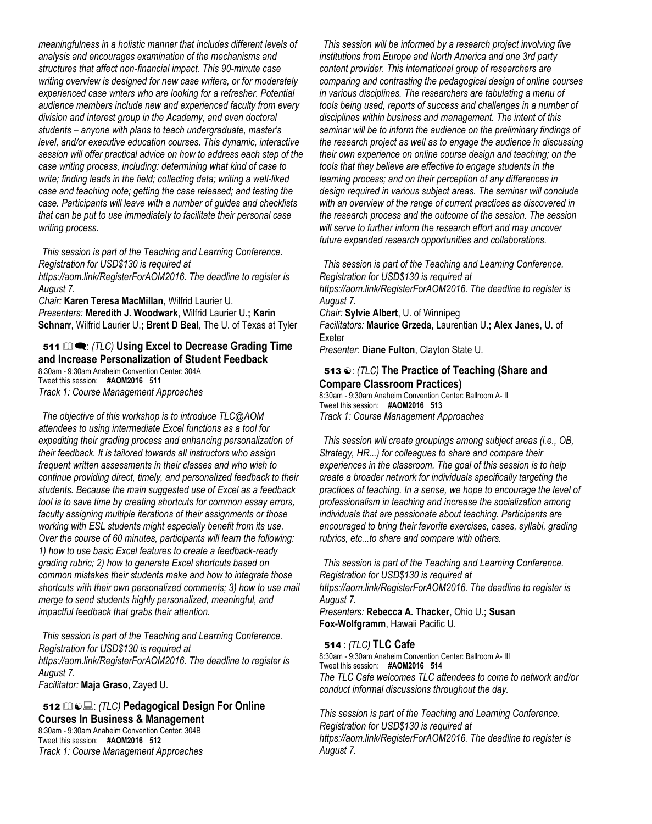*meaningfulness in a holistic manner that includes different levels of analysis and encourages examination of the mechanisms and structures that affect non-financial impact. This 90-minute case writing overview is designed for new case writers, or for moderately experienced case writers who are looking for a refresher. Potential audience members include new and experienced faculty from every division and interest group in the Academy, and even doctoral students – anyone with plans to teach undergraduate, master's level, and/or executive education courses. This dynamic, interactive session will offer practical advice on how to address each step of the case writing process, including: determining what kind of case to write; finding leads in the field; collecting data; writing a well-liked case and teaching note; getting the case released; and testing the case. Participants will leave with a number of guides and checklists that can be put to use immediately to facilitate their personal case writing process.* 

*This session is part of the Teaching and Learning Conference. Registration for USD\$130 is required at* 

*https://aom.link/RegisterForAOM2016. The deadline to register is August 7.*

*Chair:* **Karen Teresa MacMillan**, Wilfrid Laurier U. *Presenters:* **Meredith J. Woodwark**, Wilfrid Laurier U.**; Karin Schnarr**, Wilfrid Laurier U.**; Brent D Beal**, The U. of Texas at Tyler

## 511  $\mathbb{Q}$  **:** *(TLC)* Using Excel to Decrease Grading Time **and Increase Personalization of Student Feedback**

8:30am - 9:30am Anaheim Convention Center: 304A Tweet this session: **#AOM2016 511** *Track 1: Course Management Approaches*

*The objective of this workshop is to introduce TLC@AOM attendees to using intermediate Excel functions as a tool for expediting their grading process and enhancing personalization of their feedback. It is tailored towards all instructors who assign frequent written assessments in their classes and who wish to continue providing direct, timely, and personalized feedback to their students. Because the main suggested use of Excel as a feedback tool is to save time by creating shortcuts for common essay errors, faculty assigning multiple iterations of their assignments or those working with ESL students might especially benefit from its use. Over the course of 60 minutes, participants will learn the following: 1) how to use basic Excel features to create a feedback-ready grading rubric; 2) how to generate Excel shortcuts based on common mistakes their students make and how to integrate those shortcuts with their own personalized comments; 3) how to use mail merge to send students highly personalized, meaningful, and impactful feedback that grabs their attention.*

*This session is part of the Teaching and Learning Conference. Registration for USD\$130 is required at https://aom.link/RegisterForAOM2016. The deadline to register is August 7. Facilitator:* **Maja Graso**, Zayed U.

#### 512 : *(TLC)* **Pedagogical Design For Online Courses In Business & Management**

8:30am - 9:30am Anaheim Convention Center: 304B Tweet this session: **#AOM2016 512** *Track 1: Course Management Approaches*

*This session will be informed by a research project involving five institutions from Europe and North America and one 3rd party content provider. This international group of researchers are comparing and contrasting the pedagogical design of online courses in various disciplines. The researchers are tabulating a menu of tools being used, reports of success and challenges in a number of disciplines within business and management. The intent of this seminar will be to inform the audience on the preliminary findings of the research project as well as to engage the audience in discussing their own experience on online course design and teaching; on the tools that they believe are effective to engage students in the learning process; and on their perception of any differences in design required in various subject areas. The seminar will conclude with an overview of the range of current practices as discovered in the research process and the outcome of the session. The session will serve to further inform the research effort and may uncover future expanded research opportunities and collaborations.*

*This session is part of the Teaching and Learning Conference. Registration for USD\$130 is required at https://aom.link/RegisterForAOM2016. The deadline to register is August 7. Chair:* **Sylvie Albert**, U. of Winnipeg *Facilitators:* **Maurice Grzeda**, Laurentian U.**; Alex Janes**, U. of Exeter

*Presenter:* **Diane Fulton**, Clayton State U.

#### 513  $\odot$ : *(TLC)* The Practice of Teaching (Share and **Compare Classroom Practices)**

8:30am - 9:30am Anaheim Convention Center: Ballroom A- II Tweet this session: **#AOM2016 513** *Track 1: Course Management Approaches*

*This session will create groupings among subject areas (i.e., OB, Strategy, HR...) for colleagues to share and compare their experiences in the classroom. The goal of this session is to help create a broader network for individuals specifically targeting the practices of teaching. In a sense, we hope to encourage the level of professionalism in teaching and increase the socialization among individuals that are passionate about teaching. Participants are encouraged to bring their favorite exercises, cases, syllabi, grading rubrics, etc...to share and compare with others.*

*This session is part of the Teaching and Learning Conference. Registration for USD\$130 is required at https://aom.link/RegisterForAOM2016. The deadline to register is August 7.*

*Presenters:* **Rebecca A. Thacker**, Ohio U.**; Susan Fox-Wolfgramm**, Hawaii Pacific U.

#### 514 : *(TLC)* **TLC Cafe**

8:30am - 9:30am Anaheim Convention Center: Ballroom A- III Tweet this session: **#AOM2016 514** *The TLC Cafe welcomes TLC attendees to come to network and/or conduct informal discussions throughout the day.* 

*This session is part of the Teaching and Learning Conference. Registration for USD\$130 is required at https://aom.link/RegisterForAOM2016. The deadline to register is August 7.*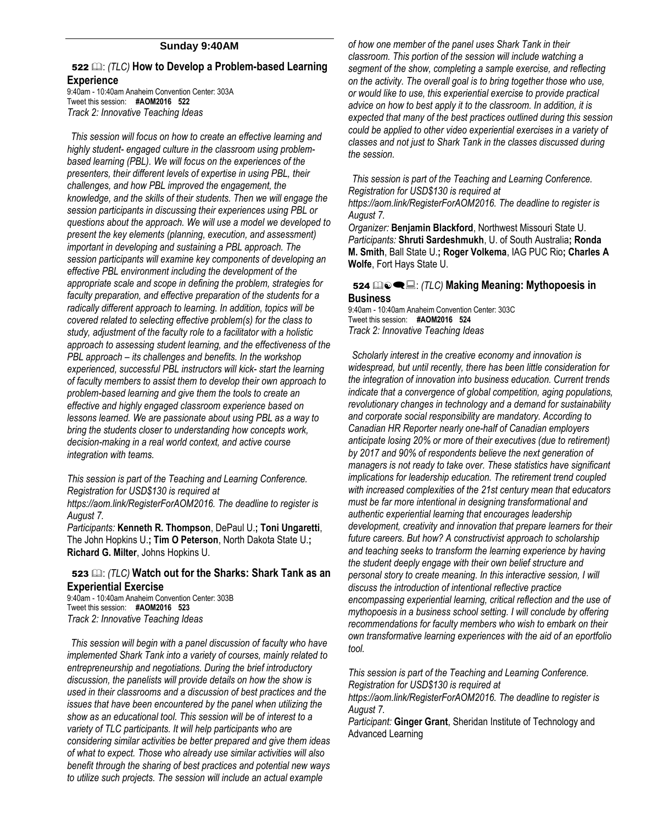#### **Sunday 9:40AM**

## 522  $\Box$ : *(TLC)* How to Develop a Problem-based Learning

**Experience**

9:40am - 10:40am Anaheim Convention Center: 303A Tweet this session: **#AOM2016 522** *Track 2: Innovative Teaching Ideas*

*This session will focus on how to create an effective learning and highly student- engaged culture in the classroom using problembased learning (PBL). We will focus on the experiences of the presenters, their different levels of expertise in using PBL, their challenges, and how PBL improved the engagement, the knowledge, and the skills of their students. Then we will engage the session participants in discussing their experiences using PBL or questions about the approach. We will use a model we developed to present the key elements (planning, execution, and assessment) important in developing and sustaining a PBL approach. The session participants will examine key components of developing an effective PBL environment including the development of the appropriate scale and scope in defining the problem, strategies for faculty preparation, and effective preparation of the students for a radically different approach to learning. In addition, topics will be covered related to selecting effective problem(s) for the class to study, adjustment of the faculty role to a facilitator with a holistic approach to assessing student learning, and the effectiveness of the PBL approach – its challenges and benefits. In the workshop experienced, successful PBL instructors will kick- start the learning of faculty members to assist them to develop their own approach to problem-based learning and give them the tools to create an effective and highly engaged classroom experience based on lessons learned. We are passionate about using PBL as a way to bring the students closer to understanding how concepts work, decision-making in a real world context, and active course integration with teams.* 

*This session is part of the Teaching and Learning Conference. Registration for USD\$130 is required at https://aom.link/RegisterForAOM2016. The deadline to register is August 7.*

*Participants:* **Kenneth R. Thompson**, DePaul U.**; Toni Ungaretti**, The John Hopkins U.**; Tim O Peterson**, North Dakota State U.**; Richard G. Milter**, Johns Hopkins U.

#### 523  $\Box$ : *(TLC)* Watch out for the Sharks: Shark Tank as an **Experiential Exercise**

9:40am - 10:40am Anaheim Convention Center: 303B Tweet this session: **#AOM2016 523** *Track 2: Innovative Teaching Ideas*

*This session will begin with a panel discussion of faculty who have implemented Shark Tank into a variety of courses, mainly related to entrepreneurship and negotiations. During the brief introductory discussion, the panelists will provide details on how the show is used in their classrooms and a discussion of best practices and the issues that have been encountered by the panel when utilizing the show as an educational tool. This session will be of interest to a variety of TLC participants. It will help participants who are considering similar activities be better prepared and give them ideas of what to expect. Those who already use similar activities will also benefit through the sharing of best practices and potential new ways to utilize such projects. The session will include an actual example* 

*of how one member of the panel uses Shark Tank in their classroom. This portion of the session will include watching a segment of the show, completing a sample exercise, and reflecting on the activity. The overall goal is to bring together those who use, or would like to use, this experiential exercise to provide practical advice on how to best apply it to the classroom. In addition, it is expected that many of the best practices outlined during this session could be applied to other video experiential exercises in a variety of classes and not just to Shark Tank in the classes discussed during the session.*

*This session is part of the Teaching and Learning Conference. Registration for USD\$130 is required at* 

*https://aom.link/RegisterForAOM2016. The deadline to register is August 7.*

*Organizer:* **Benjamin Blackford**, Northwest Missouri State U. *Participants:* **Shruti Sardeshmukh**, U. of South Australia**; Ronda M. Smith**, Ball State U.**; Roger Volkema**, IAG PUC Rio**; Charles A Wolfe**, Fort Hays State U.

#### <sup>524</sup> : *(TLC)* **Making Meaning: Mythopoesis in Business**

9:40am - 10:40am Anaheim Convention Center: 303C Tweet this session: **#AOM2016 524** *Track 2: Innovative Teaching Ideas*

*Scholarly interest in the creative economy and innovation is widespread, but until recently, there has been little consideration for the integration of innovation into business education. Current trends indicate that a convergence of global competition, aging populations, revolutionary changes in technology and a demand for sustainability and corporate social responsibility are mandatory. According to Canadian HR Reporter nearly one-half of Canadian employers anticipate losing 20% or more of their executives (due to retirement) by 2017 and 90% of respondents believe the next generation of managers is not ready to take over. These statistics have significant implications for leadership education. The retirement trend coupled with increased complexities of the 21st century mean that educators must be far more intentional in designing transformational and authentic experiential learning that encourages leadership development, creativity and innovation that prepare learners for their future careers. But how? A constructivist approach to scholarship and teaching seeks to transform the learning experience by having the student deeply engage with their own belief structure and personal story to create meaning. In this interactive session, I will discuss the introduction of intentional reflective practice encompassing experiential learning, critical reflection and the use of mythopoesis in a business school setting. I will conclude by offering recommendations for faculty members who wish to embark on their own transformative learning experiences with the aid of an eportfolio tool.* 

*This session is part of the Teaching and Learning Conference. Registration for USD\$130 is required at* 

*https://aom.link/RegisterForAOM2016. The deadline to register is August 7.*

*Participant:* **Ginger Grant**, Sheridan Institute of Technology and Advanced Learning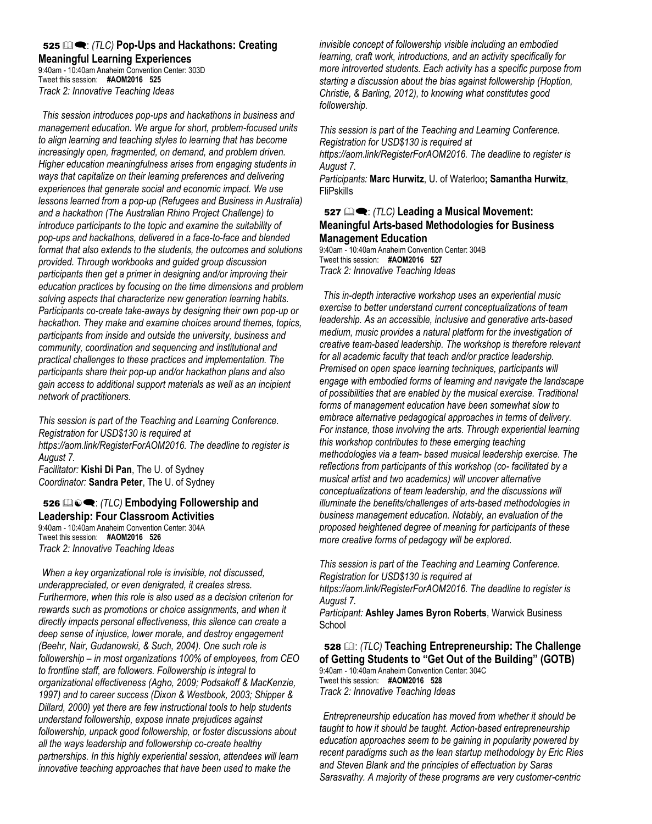#### <sup>525</sup> : *(TLC)* **Pop-Ups and Hackathons: Creating Meaningful Learning Experiences**

9:40am - 10:40am Anaheim Convention Center: 303D Tweet this session: **#AOM2016 525** *Track 2: Innovative Teaching Ideas*

*This session introduces pop-ups and hackathons in business and management education. We argue for short, problem-focused units to align learning and teaching styles to learning that has become increasingly open, fragmented, on demand, and problem driven. Higher education meaningfulness arises from engaging students in ways that capitalize on their learning preferences and delivering experiences that generate social and economic impact. We use lessons learned from a pop-up (Refugees and Business in Australia) and a hackathon (The Australian Rhino Project Challenge) to introduce participants to the topic and examine the suitability of pop-ups and hackathons, delivered in a face-to-face and blended format that also extends to the students, the outcomes and solutions provided. Through workbooks and guided group discussion participants then get a primer in designing and/or improving their education practices by focusing on the time dimensions and problem solving aspects that characterize new generation learning habits. Participants co-create take-aways by designing their own pop-up or hackathon. They make and examine choices around themes, topics, participants from inside and outside the university, business and community, coordination and sequencing and institutional and practical challenges to these practices and implementation. The participants share their pop-up and/or hackathon plans and also gain access to additional support materials as well as an incipient network of practitioners.* 

*This session is part of the Teaching and Learning Conference. Registration for USD\$130 is required at https://aom.link/RegisterForAOM2016. The deadline to register is August 7. Facilitator:* **Kishi Di Pan**, The U. of Sydney *Coordinator:* **Sandra Peter**, The U. of Sydney

#### 526  $\mathbb{Q}_P$  (*TLC*) **Embodying Followership and Leadership: Four Classroom Activities**

9:40am - 10:40am Anaheim Convention Center: 304A Tweet this session: **#AOM2016 526** *Track 2: Innovative Teaching Ideas*

*When a key organizational role is invisible, not discussed, underappreciated, or even denigrated, it creates stress. Furthermore, when this role is also used as a decision criterion for rewards such as promotions or choice assignments, and when it directly impacts personal effectiveness, this silence can create a deep sense of injustice, lower morale, and destroy engagement (Beehr, Nair, Gudanowski, & Such, 2004). One such role is followership – in most organizations 100% of employees, from CEO to frontline staff, are followers. Followership is integral to organizational effectiveness (Agho, 2009; Podsakoff & MacKenzie, 1997) and to career success (Dixon & Westbook, 2003; Shipper & Dillard, 2000) yet there are few instructional tools to help students understand followership, expose innate prejudices against followership, unpack good followership, or foster discussions about all the ways leadership and followership co-create healthy partnerships. In this highly experiential session, attendees will learn innovative teaching approaches that have been used to make the* 

*invisible concept of followership visible including an embodied learning, craft work, introductions, and an activity specifically for more introverted students. Each activity has a specific purpose from starting a discussion about the bias against followership (Hoption, Christie, & Barling, 2012), to knowing what constitutes good followership.* 

*This session is part of the Teaching and Learning Conference. Registration for USD\$130 is required at https://aom.link/RegisterForAOM2016. The deadline to register is August 7.*

*Participants:* **Marc Hurwitz**, U. of Waterloo**; Samantha Hurwitz**, FliPskills

#### 527  $\mathbb{Q}$  **•** *(TLC)* Leading a Musical Movement: **Meaningful Arts-based Methodologies for Business Management Education**

9:40am - 10:40am Anaheim Convention Center: 304B Tweet this session: **#AOM2016 527** *Track 2: Innovative Teaching Ideas*

*This in-depth interactive workshop uses an experiential music exercise to better understand current conceptualizations of team leadership. As an accessible, inclusive and generative arts-based medium, music provides a natural platform for the investigation of creative team-based leadership. The workshop is therefore relevant for all academic faculty that teach and/or practice leadership. Premised on open space learning techniques, participants will engage with embodied forms of learning and navigate the landscape of possibilities that are enabled by the musical exercise. Traditional forms of management education have been somewhat slow to embrace alternative pedagogical approaches in terms of delivery. For instance, those involving the arts. Through experiential learning this workshop contributes to these emerging teaching methodologies via a team- based musical leadership exercise. The reflections from participants of this workshop (co- facilitated by a musical artist and two academics) will uncover alternative conceptualizations of team leadership, and the discussions will illuminate the benefits/challenges of arts-based methodologies in business management education. Notably, an evaluation of the proposed heightened degree of meaning for participants of these more creative forms of pedagogy will be explored.* 

*This session is part of the Teaching and Learning Conference. Registration for USD\$130 is required at https://aom.link/RegisterForAOM2016. The deadline to register is* 

*August 7.*

*Participant:* **Ashley James Byron Roberts**, Warwick Business School

528 : *(TLC)* **Teaching Entrepreneurship: The Challenge of Getting Students to "Get Out of the Building" (GOTB)** 9:40am - 10:40am Anaheim Convention Center: 304C Tweet this session: **#AOM2016 528** *Track 2: Innovative Teaching Ideas* 

*Entrepreneurship education has moved from whether it should be taught to how it should be taught. Action-based entrepreneurship education approaches seem to be gaining in popularity powered by recent paradigms such as the lean startup methodology by Eric Ries and Steven Blank and the principles of effectuation by Saras Sarasvathy. A majority of these programs are very customer-centric*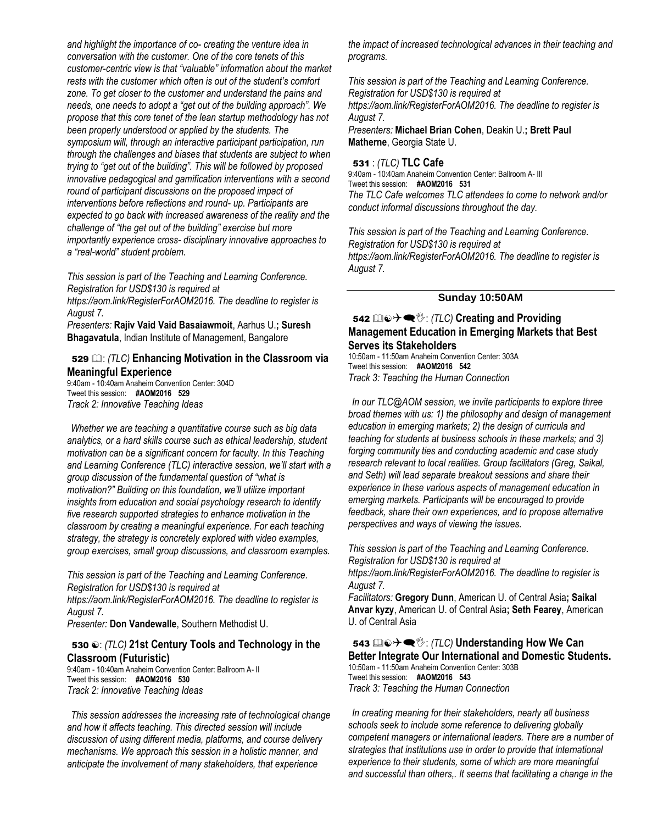*and highlight the importance of co- creating the venture idea in conversation with the customer. One of the core tenets of this customer-centric view is that "valuable" information about the market rests with the customer which often is out of the student's comfort zone. To get closer to the customer and understand the pains and needs, one needs to adopt a "get out of the building approach". We propose that this core tenet of the lean startup methodology has not been properly understood or applied by the students. The symposium will, through an interactive participant participation, run through the challenges and biases that students are subject to when trying to "get out of the building". This will be followed by proposed innovative pedagogical and gamification interventions with a second round of participant discussions on the proposed impact of interventions before reflections and round- up. Participants are expected to go back with increased awareness of the reality and the challenge of "the get out of the building" exercise but more importantly experience cross- disciplinary innovative approaches to a "real-world" student problem.* 

*This session is part of the Teaching and Learning Conference. Registration for USD\$130 is required at https://aom.link/RegisterForAOM2016. The deadline to register is August 7.*

*Presenters:* **Rajiv Vaid Vaid Basaiawmoit**, Aarhus U.**; Suresh Bhagavatula**, Indian Institute of Management, Bangalore

#### 529 : *(TLC)* **Enhancing Motivation in the Classroom via Meaningful Experience**

9:40am - 10:40am Anaheim Convention Center: 304D Tweet this session: **#AOM2016 529** *Track 2: Innovative Teaching Ideas* 

*Whether we are teaching a quantitative course such as big data analytics, or a hard skills course such as ethical leadership, student motivation can be a significant concern for faculty. In this Teaching and Learning Conference (TLC) interactive session, we'll start with a group discussion of the fundamental question of "what is motivation?" Building on this foundation, we'll utilize important insights from education and social psychology research to identify five research supported strategies to enhance motivation in the classroom by creating a meaningful experience. For each teaching strategy, the strategy is concretely explored with video examples, group exercises, small group discussions, and classroom examples.* 

*This session is part of the Teaching and Learning Conference. Registration for USD\$130 is required at https://aom.link/RegisterForAOM2016. The deadline to register is August 7.*

*Presenter:* **Don Vandewalle**, Southern Methodist U.

#### 530  $\odot$ : *(TLC)* 21st Century Tools and Technology in the **Classroom (Futuristic)**

9:40am - 10:40am Anaheim Convention Center: Ballroom A- II Tweet this session: **#AOM2016 530** *Track 2: Innovative Teaching Ideas* 

*This session addresses the increasing rate of technological change and how it affects teaching. This directed session will include discussion of using different media, platforms, and course delivery mechanisms. We approach this session in a holistic manner, and anticipate the involvement of many stakeholders, that experience* 

*the impact of increased technological advances in their teaching and programs.* 

*This session is part of the Teaching and Learning Conference. Registration for USD\$130 is required at https://aom.link/RegisterForAOM2016. The deadline to register is August 7. Presenters:* **Michael Brian Cohen**, Deakin U.**; Brett Paul** 

**Matherne**, Georgia State U.

#### 531 : *(TLC)* **TLC Cafe**

9:40am - 10:40am Anaheim Convention Center: Ballroom A- III Tweet this session: **#AOM2016 531** *The TLC Cafe welcomes TLC attendees to come to network and/or conduct informal discussions throughout the day.* 

*This session is part of the Teaching and Learning Conference. Registration for USD\$130 is required at https://aom.link/RegisterForAOM2016. The deadline to register is August 7.*

#### **Sunday 10:50AM**

#### 542 **a**  $\odot$  →  $\blacktriangle$   $\%$  : (TLC) Creating and Providing **Management Education in Emerging Markets that Best Serves its Stakeholders**

10:50am - 11:50am Anaheim Convention Center: 303A Tweet this session: **#AOM2016 542** *Track 3: Teaching the Human Connection*

*In our TLC@AOM session, we invite participants to explore three broad themes with us: 1) the philosophy and design of management education in emerging markets; 2) the design of curricula and teaching for students at business schools in these markets; and 3) forging community ties and conducting academic and case study research relevant to local realities. Group facilitators (Greg, Saikal, and Seth) will lead separate breakout sessions and share their experience in these various aspects of management education in emerging markets. Participants will be encouraged to provide feedback, share their own experiences, and to propose alternative perspectives and ways of viewing the issues.* 

*This session is part of the Teaching and Learning Conference. Registration for USD\$130 is required at https://aom.link/RegisterForAOM2016. The deadline to register is* 

*August 7. Facilitators:* **Gregory Dunn**, American U. of Central Asia**; Saikal Anvar kyzy**, American U. of Central Asia**; Seth Fearey**, American U. of Central Asia

543 **a**  $\odot$  →  $\bullet$   $\mathcal{C}$  : (TLC) Understanding How We Can **Better Integrate Our International and Domestic Students.** 10:50am - 11:50am Anaheim Convention Center: 303B Tweet this session: **#AOM2016 543** *Track 3: Teaching the Human Connection*

*In creating meaning for their stakeholders, nearly all business schools seek to include some reference to delivering globally competent managers or international leaders. There are a number of strategies that institutions use in order to provide that international experience to their students, some of which are more meaningful and successful than others,. It seems that facilitating a change in the*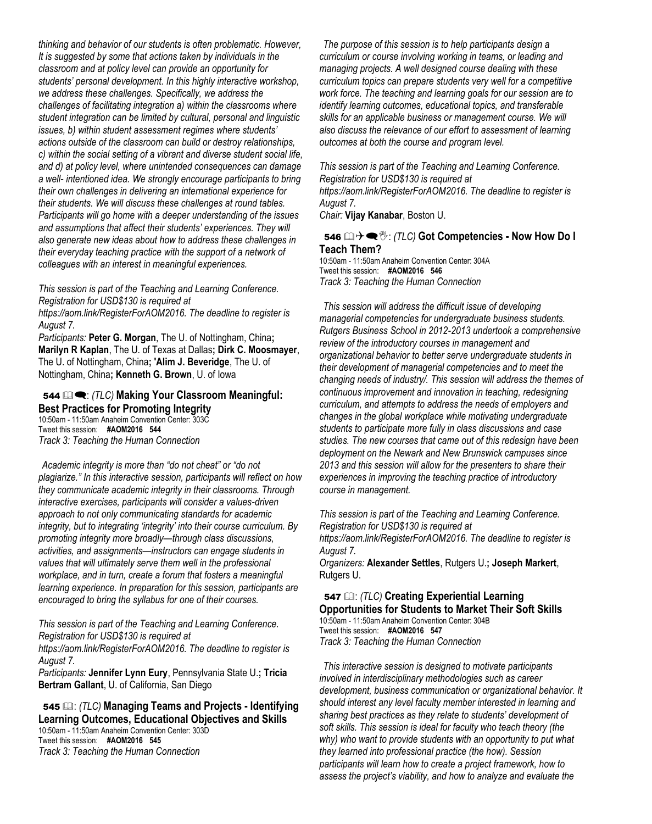*thinking and behavior of our students is often problematic. However, It is suggested by some that actions taken by individuals in the classroom and at policy level can provide an opportunity for students' personal development. In this highly interactive workshop, we address these challenges. Specifically, we address the challenges of facilitating integration a) within the classrooms where student integration can be limited by cultural, personal and linguistic issues, b) within student assessment regimes where students' actions outside of the classroom can build or destroy relationships, c) within the social setting of a vibrant and diverse student social life, and d) at policy level, where unintended consequences can damage a well- intentioned idea. We strongly encourage participants to bring their own challenges in delivering an international experience for their students. We will discuss these challenges at round tables. Participants will go home with a deeper understanding of the issues and assumptions that affect their students' experiences. They will also generate new ideas about how to address these challenges in their everyday teaching practice with the support of a network of colleagues with an interest in meaningful experiences.* 

*This session is part of the Teaching and Learning Conference. Registration for USD\$130 is required at* 

*https://aom.link/RegisterForAOM2016. The deadline to register is August 7.*

*Participants:* **Peter G. Morgan**, The U. of Nottingham, China**; Marilyn R Kaplan**, The U. of Texas at Dallas**; Dirk C. Moosmayer**, The U. of Nottingham, China**; 'Alim J. Beveridge**, The U. of Nottingham, China**; Kenneth G. Brown**, U. of Iowa

#### <sup>544</sup> : *(TLC)* **Making Your Classroom Meaningful: Best Practices for Promoting Integrity**

10:50am - 11:50am Anaheim Convention Center: 303C Tweet this session: **#AOM2016 544** *Track 3: Teaching the Human Connection* 

*Academic integrity is more than "do not cheat" or "do not plagiarize." In this interactive session, participants will reflect on how they communicate academic integrity in their classrooms. Through interactive exercises, participants will consider a values-driven approach to not only communicating standards for academic integrity, but to integrating 'integrity' into their course curriculum. By promoting integrity more broadly—through class discussions, activities, and assignments—instructors can engage students in values that will ultimately serve them well in the professional workplace, and in turn, create a forum that fosters a meaningful learning experience. In preparation for this session, participants are encouraged to bring the syllabus for one of their courses.* 

*This session is part of the Teaching and Learning Conference. Registration for USD\$130 is required at* 

*https://aom.link/RegisterForAOM2016. The deadline to register is August 7.*

*Participants:* **Jennifer Lynn Eury**, Pennsylvania State U.**; Tricia Bertram Gallant**, U. of California, San Diego

#### 545 : *(TLC)* **Managing Teams and Projects - Identifying Learning Outcomes, Educational Objectives and Skills** 10:50am - 11:50am Anaheim Convention Center: 303D

Tweet this session: **#AOM2016 545** *Track 3: Teaching the Human Connection*

*The purpose of this session is to help participants design a curriculum or course involving working in teams, or leading and managing projects. A well designed course dealing with these curriculum topics can prepare students very well for a competitive work force. The teaching and learning goals for our session are to identify learning outcomes, educational topics, and transferable skills for an applicable business or management course. We will also discuss the relevance of our effort to assessment of learning outcomes at both the course and program level.* 

*This session is part of the Teaching and Learning Conference. Registration for USD\$130 is required at https://aom.link/RegisterForAOM2016. The deadline to register is August 7.*

*Chair:* **Vijay Kanabar**, Boston U.

#### <sup>546</sup> : *(TLC)* **Got Competencies - Now How Do I Teach Them?**

10:50am - 11:50am Anaheim Convention Center: 304A Tweet this session: **#AOM2016 546** *Track 3: Teaching the Human Connection* 

*This session will address the difficult issue of developing managerial competencies for undergraduate business students. Rutgers Business School in 2012-2013 undertook a comprehensive review of the introductory courses in management and organizational behavior to better serve undergraduate students in their development of managerial competencies and to meet the changing needs of industry/. This session will address the themes of continuous improvement and innovation in teaching, redesigning curriculum, and attempts to address the needs of employers and changes in the global workplace while motivating undergraduate students to participate more fully in class discussions and case studies. The new courses that came out of this redesign have been deployment on the Newark and New Brunswick campuses since 2013 and this session will allow for the presenters to share their experiences in improving the teaching practice of introductory course in management.* 

*This session is part of the Teaching and Learning Conference. Registration for USD\$130 is required at* 

*https://aom.link/RegisterForAOM2016. The deadline to register is August 7.*

*Organizers:* **Alexander Settles**, Rutgers U.**; Joseph Markert**, Rutgers U.

#### 547 (11C) Creating Experiential Learning **Opportunities for Students to Market Their Soft Skills** 10:50am - 11:50am Anaheim Convention Center: 304B Tweet this session: **#AOM2016 547** *Track 3: Teaching the Human Connection*

*This interactive session is designed to motivate participants involved in interdisciplinary methodologies such as career development, business communication or organizational behavior. It should interest any level faculty member interested in learning and sharing best practices as they relate to students' development of soft skills. This session is ideal for faculty who teach theory (the why) who want to provide students with an opportunity to put what they learned into professional practice (the how). Session participants will learn how to create a project framework, how to assess the project's viability, and how to analyze and evaluate the*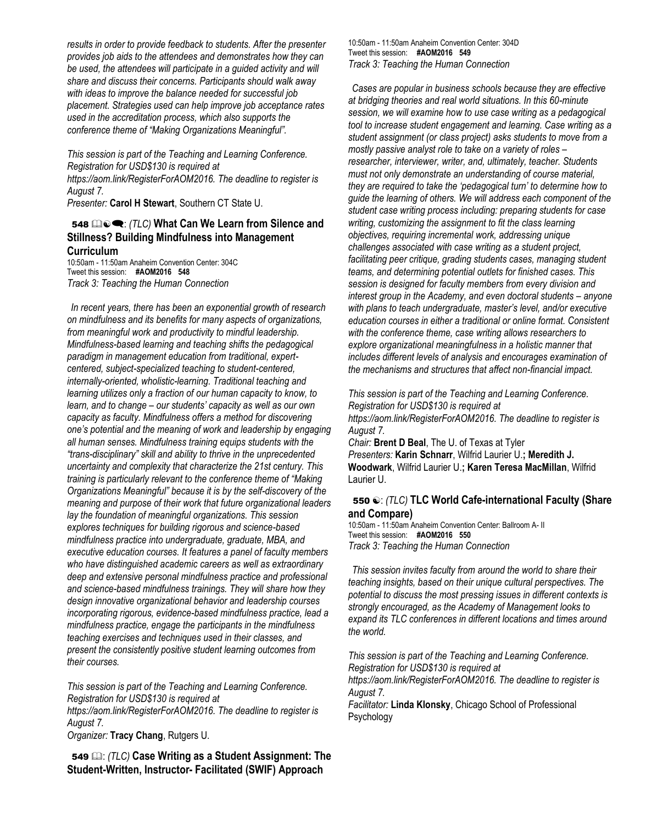*results in order to provide feedback to students. After the presenter provides job aids to the attendees and demonstrates how they can be used, the attendees will participate in a guided activity and will share and discuss their concerns. Participants should walk away with ideas to improve the balance needed for successful job placement. Strategies used can help improve job acceptance rates used in the accreditation process, which also supports the conference theme of "Making Organizations Meaningful".* 

*This session is part of the Teaching and Learning Conference. Registration for USD\$130 is required at https://aom.link/RegisterForAOM2016. The deadline to register is August 7.*

*Presenter:* **Carol H Stewart**, Southern CT State U.

#### 548 **<b>a.**  $\bullet$   $\bullet$  *(TLC)* What Can We Learn from Silence and **Stillness? Building Mindfulness into Management Curriculum**

10:50am - 11:50am Anaheim Convention Center: 304C Tweet this session: **#AOM2016 548** *Track 3: Teaching the Human Connection*

*In recent years, there has been an exponential growth of research on mindfulness and its benefits for many aspects of organizations, from meaningful work and productivity to mindful leadership. Mindfulness-based learning and teaching shifts the pedagogical paradigm in management education from traditional, expertcentered, subject-specialized teaching to student-centered, internally-oriented, wholistic-learning. Traditional teaching and learning utilizes only a fraction of our human capacity to know, to learn, and to change – our students' capacity as well as our own capacity as faculty. Mindfulness offers a method for discovering one's potential and the meaning of work and leadership by engaging all human senses. Mindfulness training equips students with the "trans-disciplinary" skill and ability to thrive in the unprecedented uncertainty and complexity that characterize the 21st century. This training is particularly relevant to the conference theme of "Making Organizations Meaningful" because it is by the self-discovery of the meaning and purpose of their work that future organizational leaders lay the foundation of meaningful organizations. This session explores techniques for building rigorous and science-based mindfulness practice into undergraduate, graduate, MBA, and executive education courses. It features a panel of faculty members who have distinguished academic careers as well as extraordinary deep and extensive personal mindfulness practice and professional and science-based mindfulness trainings. They will share how they design innovative organizational behavior and leadership courses incorporating rigorous, evidence-based mindfulness practice, lead a mindfulness practice, engage the participants in the mindfulness teaching exercises and techniques used in their classes, and present the consistently positive student learning outcomes from their courses.* 

*This session is part of the Teaching and Learning Conference. Registration for USD\$130 is required at https://aom.link/RegisterForAOM2016. The deadline to register is August 7.*

*Organizer:* **Tracy Chang**, Rutgers U.

549 **E.** *(TLC)* Case Writing as a Student Assignment: The **Student-Written, Instructor- Facilitated (SWIF) Approach**

10:50am - 11:50am Anaheim Convention Center: 304D Tweet this session: **#AOM2016 549** *Track 3: Teaching the Human Connection*

*Cases are popular in business schools because they are effective at bridging theories and real world situations. In this 60-minute session, we will examine how to use case writing as a pedagogical tool to increase student engagement and learning. Case writing as a student assignment (or class project) asks students to move from a mostly passive analyst role to take on a variety of roles – researcher, interviewer, writer, and, ultimately, teacher. Students must not only demonstrate an understanding of course material, they are required to take the 'pedagogical turn' to determine how to guide the learning of others. We will address each component of the student case writing process including: preparing students for case writing, customizing the assignment to fit the class learning objectives, requiring incremental work, addressing unique challenges associated with case writing as a student project, facilitating peer critique, grading students cases, managing student teams, and determining potential outlets for finished cases. This session is designed for faculty members from every division and interest group in the Academy, and even doctoral students – anyone with plans to teach undergraduate, master's level, and/or executive education courses in either a traditional or online format. Consistent with the conference theme, case writing allows researchers to explore organizational meaningfulness in a holistic manner that includes different levels of analysis and encourages examination of the mechanisms and structures that affect non-financial impact.* 

*This session is part of the Teaching and Learning Conference. Registration for USD\$130 is required at https://aom.link/RegisterForAOM2016. The deadline to register is August 7.*

*Chair:* **Brent D Beal**, The U. of Texas at Tyler *Presenters:* **Karin Schnarr**, Wilfrid Laurier U.**; Meredith J. Woodwark**, Wilfrid Laurier U.**; Karen Teresa MacMillan**, Wilfrid Laurier U.

#### 550  $\odot$ : *(TLC)* **TLC World Cafe-international Faculty (Share and Compare)**

10:50am - 11:50am Anaheim Convention Center: Ballroom A- II Tweet this session: **#AOM2016 550** *Track 3: Teaching the Human Connection*

*This session invites faculty from around the world to share their teaching insights, based on their unique cultural perspectives. The potential to discuss the most pressing issues in different contexts is strongly encouraged, as the Academy of Management looks to expand its TLC conferences in different locations and times around the world.* 

*This session is part of the Teaching and Learning Conference. Registration for USD\$130 is required at https://aom.link/RegisterForAOM2016. The deadline to register is August 7.*

*Facilitator:* **Linda Klonsky**, Chicago School of Professional Psychology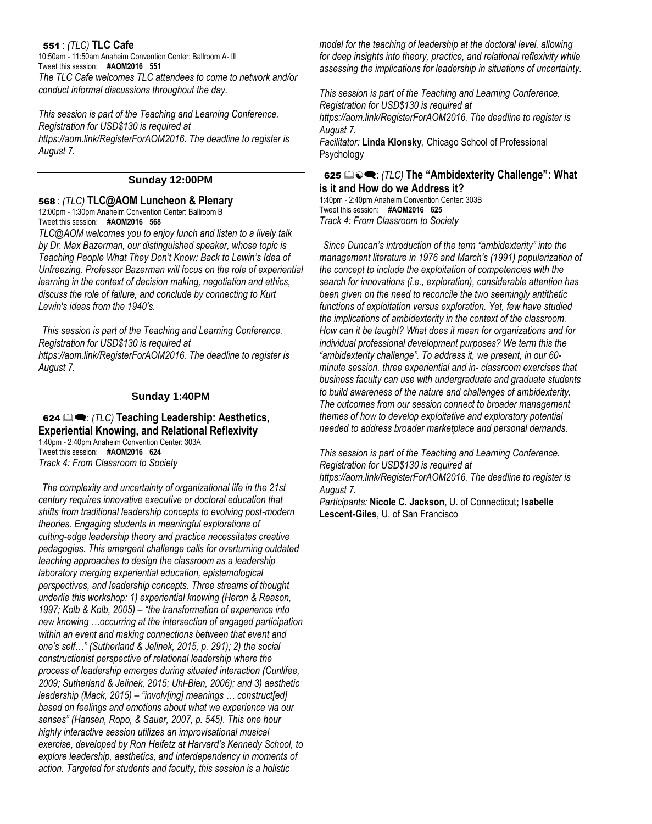#### 551 : *(TLC)* **TLC Cafe**

*August 7.*

10:50am - 11:50am Anaheim Convention Center: Ballroom A- III Tweet this session: **#AOM2016 551** *The TLC Cafe welcomes TLC attendees to come to network and/or conduct informal discussions throughout the day.* 

*This session is part of the Teaching and Learning Conference. Registration for USD\$130 is required at https://aom.link/RegisterForAOM2016. The deadline to register is August 7.*

#### **Sunday 12:00PM**

#### 568 : *(TLC)* **TLC@AOM Luncheon & Plenary**

12:00pm - 1:30pm Anaheim Convention Center: Ballroom B Tweet this session: **#AOM2016 568**

*TLC@AOM welcomes you to enjoy lunch and listen to a lively talk by Dr. Max Bazerman, our distinguished speaker, whose topic is Teaching People What They Don't Know: Back to Lewin's Idea of Unfreezing. Professor Bazerman will focus on the role of experiential learning in the context of decision making, negotiation and ethics, discuss the role of failure, and conclude by connecting to Kurt Lewin's ideas from the 1940's.*

*This session is part of the Teaching and Learning Conference. Registration for USD\$130 is required at https://aom.link/RegisterForAOM2016. The deadline to register is* 

#### **Sunday 1:40PM**

624  $\mathbf{Q}$ : *(TLC)* Teaching Leadership: Aesthetics, **Experiential Knowing, and Relational Reflexivity** 1:40pm - 2:40pm Anaheim Convention Center: 303A Tweet this session: **#AOM2016 624** *Track 4: From Classroom to Society*

*The complexity and uncertainty of organizational life in the 21st century requires innovative executive or doctoral education that shifts from traditional leadership concepts to evolving post-modern theories. Engaging students in meaningful explorations of cutting-edge leadership theory and practice necessitates creative pedagogies. This emergent challenge calls for overturning outdated teaching approaches to design the classroom as a leadership laboratory merging experiential education, epistemological perspectives, and leadership concepts. Three streams of thought underlie this workshop: 1) experiential knowing (Heron & Reason, 1997; Kolb & Kolb, 2005) – "the transformation of experience into new knowing …occurring at the intersection of engaged participation within an event and making connections between that event and one's self…" (Sutherland & Jelinek, 2015, p. 291); 2) the social constructionist perspective of relational leadership where the process of leadership emerges during situated interaction (Cunlifee, 2009; Sutherland & Jelinek, 2015; Uhl-Bien, 2006); and 3) aesthetic leadership (Mack, 2015) – "involv[ing] meanings … construct[ed] based on feelings and emotions about what we experience via our senses" (Hansen, Ropo, & Sauer, 2007, p. 545). This one hour highly interactive session utilizes an improvisational musical exercise, developed by Ron Heifetz at Harvard's Kennedy School, to explore leadership, aesthetics, and interdependency in moments of action. Targeted for students and faculty, this session is a holistic* 

*model for the teaching of leadership at the doctoral level, allowing for deep insights into theory, practice, and relational reflexivity while assessing the implications for leadership in situations of uncertainty.* 

*This session is part of the Teaching and Learning Conference. Registration for USD\$130 is required at https://aom.link/RegisterForAOM2016. The deadline to register is August 7. Facilitator:* **Linda Klonsky**, Chicago School of Professional Psychology

#### <sup>625</sup> : *(TLC)* **The "Ambidexterity Challenge": What is it and How do we Address it?**

1:40pm - 2:40pm Anaheim Convention Center: 303B Tweet this session: **#AOM2016 625** *Track 4: From Classroom to Society*

*Since Duncan's introduction of the term "ambidexterity" into the management literature in 1976 and March's (1991) popularization of the concept to include the exploitation of competencies with the search for innovations (i.e., exploration), considerable attention has been given on the need to reconcile the two seemingly antithetic functions of exploitation versus exploration. Yet, few have studied the implications of ambidexterity in the context of the classroom. How can it be taught? What does it mean for organizations and for individual professional development purposes? We term this the "ambidexterity challenge". To address it, we present, in our 60 minute session, three experiential and in- classroom exercises that business faculty can use with undergraduate and graduate students to build awareness of the nature and challenges of ambidexterity. The outcomes from our session connect to broader management themes of how to develop exploitative and exploratory potential needed to address broader marketplace and personal demands.* 

*This session is part of the Teaching and Learning Conference. Registration for USD\$130 is required at https://aom.link/RegisterForAOM2016. The deadline to register is* 

*August 7. Participants:* **Nicole C. Jackson**, U. of Connecticut**; Isabelle Lescent-Giles**, U. of San Francisco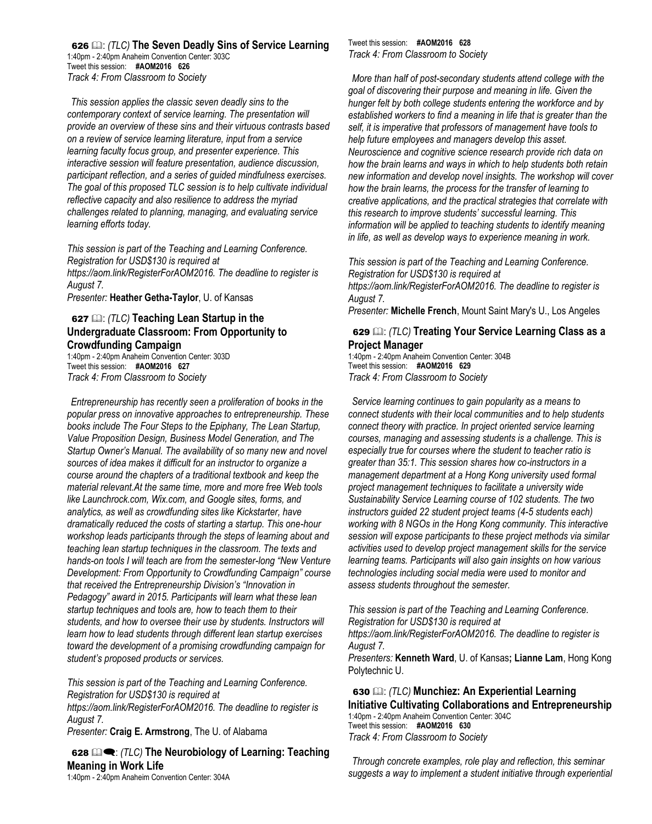626 : *(TLC)* **The Seven Deadly Sins of Service Learning** 1:40pm - 2:40pm Anaheim Convention Center: 303C Tweet this session: **#AOM2016 626** *Track 4: From Classroom to Society*

*This session applies the classic seven deadly sins to the contemporary context of service learning. The presentation will provide an overview of these sins and their virtuous contrasts based on a review of service learning literature, input from a service learning faculty focus group, and presenter experience. This interactive session will feature presentation, audience discussion, participant reflection, and a series of guided mindfulness exercises. The goal of this proposed TLC session is to help cultivate individual reflective capacity and also resilience to address the myriad challenges related to planning, managing, and evaluating service learning efforts today.* 

*This session is part of the Teaching and Learning Conference. Registration for USD\$130 is required at https://aom.link/RegisterForAOM2016. The deadline to register is August 7.*

*Presenter:* **Heather Getha-Taylor**, U. of Kansas

#### 627 : *(TLC)* **Teaching Lean Startup in the Undergraduate Classroom: From Opportunity to Crowdfunding Campaign**

1:40pm - 2:40pm Anaheim Convention Center: 303D Tweet this session: **#AOM2016 627** *Track 4: From Classroom to Society* 

*Entrepreneurship has recently seen a proliferation of books in the popular press on innovative approaches to entrepreneurship. These books include The Four Steps to the Epiphany, The Lean Startup, Value Proposition Design, Business Model Generation, and The Startup Owner's Manual. The availability of so many new and novel sources of idea makes it difficult for an instructor to organize a course around the chapters of a traditional textbook and keep the material relevant.At the same time, more and more free Web tools like Launchrock.com, Wix.com, and Google sites, forms, and analytics, as well as crowdfunding sites like Kickstarter, have dramatically reduced the costs of starting a startup. This one-hour workshop leads participants through the steps of learning about and teaching lean startup techniques in the classroom. The texts and hands-on tools I will teach are from the semester-long "New Venture Development: From Opportunity to Crowdfunding Campaign" course that received the Entrepreneurship Division's "Innovation in Pedagogy" award in 2015. Participants will learn what these lean startup techniques and tools are, how to teach them to their students, and how to oversee their use by students. Instructors will learn how to lead students through different lean startup exercises toward the development of a promising crowdfunding campaign for student's proposed products or services.* 

*This session is part of the Teaching and Learning Conference. Registration for USD\$130 is required at https://aom.link/RegisterForAOM2016. The deadline to register is August 7. Presenter:* **Craig E. Armstrong**, The U. of Alabama

628  $\mathbb{Q}$  **(TLC)** The Neurobiology of Learning: Teaching **Meaning in Work Life**

1:40pm - 2:40pm Anaheim Convention Center: 304A

Tweet this session: **#AOM2016 628** *Track 4: From Classroom to Society* 

*More than half of post-secondary students attend college with the goal of discovering their purpose and meaning in life. Given the hunger felt by both college students entering the workforce and by established workers to find a meaning in life that is greater than the self, it is imperative that professors of management have tools to help future employees and managers develop this asset. Neuroscience and cognitive science research provide rich data on how the brain learns and ways in which to help students both retain new information and develop novel insights. The workshop will cover how the brain learns, the process for the transfer of learning to creative applications, and the practical strategies that correlate with this research to improve students' successful learning. This information will be applied to teaching students to identify meaning in life, as well as develop ways to experience meaning in work.* 

*This session is part of the Teaching and Learning Conference. Registration for USD\$130 is required at https://aom.link/RegisterForAOM2016. The deadline to register is August 7. Presenter:* **Michelle French**, Mount Saint Mary's U., Los Angeles

#### 629 : *(TLC)* **Treating Your Service Learning Class as a Project Manager**

1:40pm - 2:40pm Anaheim Convention Center: 304B Tweet this session: **#AOM2016 629** *Track 4: From Classroom to Society* 

*Service learning continues to gain popularity as a means to connect students with their local communities and to help students connect theory with practice. In project oriented service learning courses, managing and assessing students is a challenge. This is especially true for courses where the student to teacher ratio is greater than 35:1. This session shares how co-instructors in a management department at a Hong Kong university used formal project management techniques to facilitate a university wide Sustainability Service Learning course of 102 students. The two instructors guided 22 student project teams (4-5 students each) working with 8 NGOs in the Hong Kong community. This interactive session will expose participants to these project methods via similar activities used to develop project management skills for the service learning teams. Participants will also gain insights on how various technologies including social media were used to monitor and assess students throughout the semester.* 

*This session is part of the Teaching and Learning Conference. Registration for USD\$130 is required at https://aom.link/RegisterForAOM2016. The deadline to register is August 7.*

*Presenters:* **Kenneth Ward**, U. of Kansas**; Lianne Lam**, Hong Kong Polytechnic U.

630 : *(TLC)* **Munchiez: An Experiential Learning Initiative Cultivating Collaborations and Entrepreneurship** 1:40pm - 2:40pm Anaheim Convention Center: 304C Tweet this session: **#AOM2016 630** *Track 4: From Classroom to Society*

*Through concrete examples, role play and reflection, this seminar suggests a way to implement a student initiative through experiential*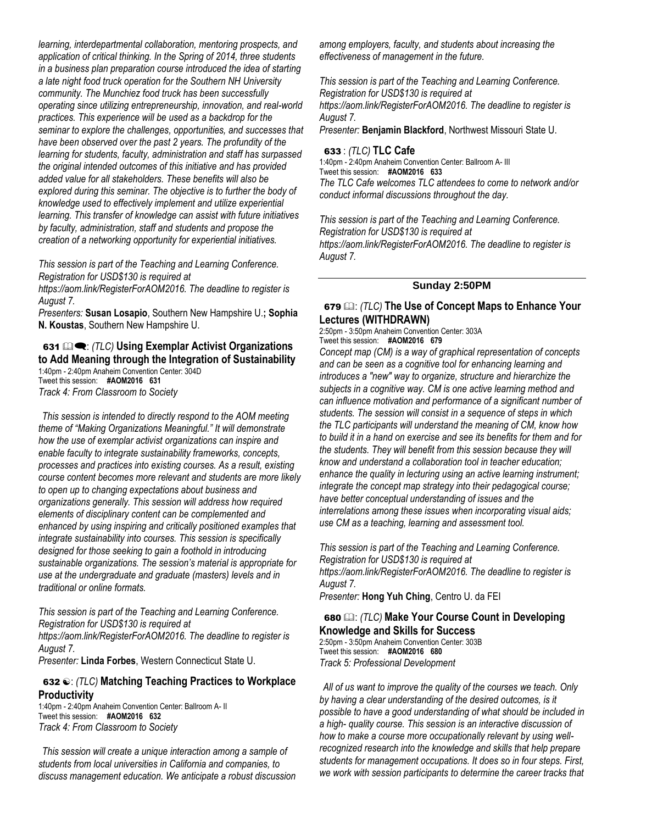*learning, interdepartmental collaboration, mentoring prospects, and application of critical thinking. In the Spring of 2014, three students in a business plan preparation course introduced the idea of starting a late night food truck operation for the Southern NH University community. The Munchiez food truck has been successfully operating since utilizing entrepreneurship, innovation, and real-world practices. This experience will be used as a backdrop for the seminar to explore the challenges, opportunities, and successes that have been observed over the past 2 years. The profundity of the learning for students, faculty, administration and staff has surpassed the original intended outcomes of this initiative and has provided added value for all stakeholders. These benefits will also be explored during this seminar. The objective is to further the body of knowledge used to effectively implement and utilize experiential learning. This transfer of knowledge can assist with future initiatives by faculty, administration, staff and students and propose the creation of a networking opportunity for experiential initiatives.* 

*This session is part of the Teaching and Learning Conference. Registration for USD\$130 is required at* 

*https://aom.link/RegisterForAOM2016. The deadline to register is August 7.*

*Presenters:* **Susan Losapio**, Southern New Hampshire U.**; Sophia N. Koustas**, Southern New Hampshire U.

#### 631  $\mathbb{Q}$  **:** *(TLC)* Using Exemplar Activist Organizations **to Add Meaning through the Integration of Sustainability**

1:40pm - 2:40pm Anaheim Convention Center: 304D Tweet this session: **#AOM2016 631** *Track 4: From Classroom to Society* 

*This session is intended to directly respond to the AOM meeting theme of "Making Organizations Meaningful." It will demonstrate how the use of exemplar activist organizations can inspire and enable faculty to integrate sustainability frameworks, concepts, processes and practices into existing courses. As a result, existing course content becomes more relevant and students are more likely to open up to changing expectations about business and organizations generally. This session will address how required elements of disciplinary content can be complemented and enhanced by using inspiring and critically positioned examples that integrate sustainability into courses. This session is specifically designed for those seeking to gain a foothold in introducing sustainable organizations. The session's material is appropriate for use at the undergraduate and graduate (masters) levels and in traditional or online formats.* 

*This session is part of the Teaching and Learning Conference. Registration for USD\$130 is required at* 

*https://aom.link/RegisterForAOM2016. The deadline to register is August 7.*

*Presenter:* **Linda Forbes**, Western Connecticut State U.

#### 632  $\odot$ : *(TLC)* Matching Teaching Practices to Workplace **Productivity**

1:40pm - 2:40pm Anaheim Convention Center: Ballroom A- II Tweet this session: **#AOM2016 632** *Track 4: From Classroom to Society* 

*This session will create a unique interaction among a sample of students from local universities in California and companies, to discuss management education. We anticipate a robust discussion*  *among employers, faculty, and students about increasing the effectiveness of management in the future.* 

*This session is part of the Teaching and Learning Conference. Registration for USD\$130 is required at https://aom.link/RegisterForAOM2016. The deadline to register is August 7.*

*Presenter:* **Benjamin Blackford**, Northwest Missouri State U.

### 633 : *(TLC)* **TLC Cafe**

1:40pm - 2:40pm Anaheim Convention Center: Ballroom A- III Tweet this session: **#AOM2016 633** *The TLC Cafe welcomes TLC attendees to come to network and/or conduct informal discussions throughout the day.*

*This session is part of the Teaching and Learning Conference. Registration for USD\$130 is required at https://aom.link/RegisterForAOM2016. The deadline to register is August 7.*

#### **Sunday 2:50PM**

#### 679  $\Box$ : *(TLC)* The Use of Concept Maps to Enhance Your **Lectures (WITHDRAWN)**

2:50pm - 3:50pm Anaheim Convention Center: 303A Tweet this session: **#AOM2016 679**

*Concept map (CM) is a way of graphical representation of concepts and can be seen as a cognitive tool for enhancing learning and introduces a "new" way to organize, structure and hierarchize the subjects in a cognitive way. CM is one active learning method and can influence motivation and performance of a significant number of students. The session will consist in a sequence of steps in which the TLC participants will understand the meaning of CM, know how to build it in a hand on exercise and see its benefits for them and for the students. They will benefit from this session because they will know and understand a collaboration tool in teacher education; enhance the quality in lecturing using an active learning instrument; integrate the concept map strategy into their pedagogical course; have better conceptual understanding of issues and the interrelations among these issues when incorporating visual aids; use CM as a teaching, learning and assessment tool.* 

*This session is part of the Teaching and Learning Conference. Registration for USD\$130 is required at https://aom.link/RegisterForAOM2016. The deadline to register is August 7.*

*Presenter:* **Hong Yuh Ching**, Centro U. da FEI

#### 680 : *(TLC)* **Make Your Course Count in Developing Knowledge and Skills for Success** 2:50pm - 3:50pm Anaheim Convention Center: 303B

Tweet this session: **#AOM2016 680** *Track 5: Professional Development* 

*All of us want to improve the quality of the courses we teach. Only by having a clear understanding of the desired outcomes, is it possible to have a good understanding of what should be included in a high- quality course. This session is an interactive discussion of how to make a course more occupationally relevant by using wellrecognized research into the knowledge and skills that help prepare students for management occupations. It does so in four steps. First, we work with session participants to determine the career tracks that*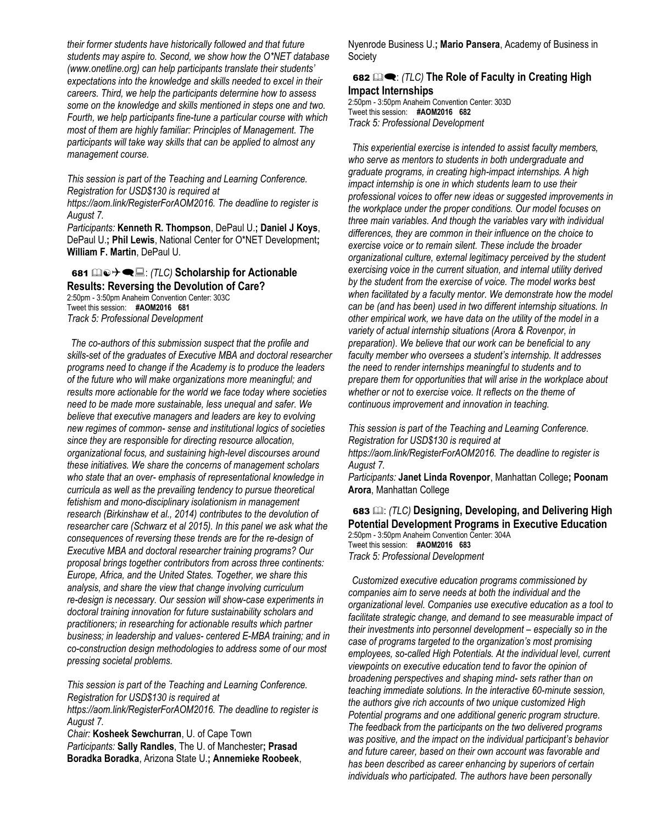*their former students have historically followed and that future students may aspire to. Second, we show how the O\*NET database (www.onetline.org) can help participants translate their students' expectations into the knowledge and skills needed to excel in their careers. Third, we help the participants determine how to assess some on the knowledge and skills mentioned in steps one and two. Fourth, we help participants fine-tune a particular course with which most of them are highly familiar: Principles of Management. The participants will take way skills that can be applied to almost any management course.* 

*This session is part of the Teaching and Learning Conference. Registration for USD\$130 is required at* 

*https://aom.link/RegisterForAOM2016. The deadline to register is August 7.*

*Participants:* **Kenneth R. Thompson**, DePaul U.**; Daniel J Koys**, DePaul U.**; Phil Lewis**, National Center for O\*NET Development**; William F. Martin**, DePaul U.

681 **a**  $\odot$  → **■**  $\Xi$ : (TLC) Scholarship for Actionable **Results: Reversing the Devolution of Care?**

2:50pm - 3:50pm Anaheim Convention Center: 303C Tweet this session: **#AOM2016 681** *Track 5: Professional Development*

*The co-authors of this submission suspect that the profile and skills-set of the graduates of Executive MBA and doctoral researcher programs need to change if the Academy is to produce the leaders of the future who will make organizations more meaningful; and results more actionable for the world we face today where societies need to be made more sustainable, less unequal and safer. We believe that executive managers and leaders are key to evolving new regimes of common- sense and institutional logics of societies since they are responsible for directing resource allocation, organizational focus, and sustaining high-level discourses around these initiatives. We share the concerns of management scholars who state that an over- emphasis of representational knowledge in curricula as well as the prevailing tendency to pursue theoretical fetishism and mono-disciplinary isolationism in management research (Birkinshaw et al., 2014) contributes to the devolution of researcher care (Schwarz et al 2015). In this panel we ask what the consequences of reversing these trends are for the re-design of Executive MBA and doctoral researcher training programs? Our proposal brings together contributors from across three continents: Europe, Africa, and the United States. Together, we share this analysis, and share the view that change involving curriculum re-design is necessary. Our session will show-case experiments in doctoral training innovation for future sustainability scholars and practitioners; in researching for actionable results which partner business; in leadership and values- centered E-MBA training; and in co-construction design methodologies to address some of our most pressing societal problems.* 

*This session is part of the Teaching and Learning Conference. Registration for USD\$130 is required at https://aom.link/RegisterForAOM2016. The deadline to register is August 7.*

*Chair:* **Kosheek Sewchurran**, U. of Cape Town *Participants:* **Sally Randles**, The U. of Manchester**; Prasad Boradka Boradka**, Arizona State U.**; Annemieke Roobeek**, Nyenrode Business U.**; Mario Pansera**, Academy of Business in Society

#### 682  $\mathbb{Q}$  **:** *(TLC)* The Role of Faculty in Creating High **Impact Internships**

2:50pm - 3:50pm Anaheim Convention Center: 303D Tweet this session: **#AOM2016 682** *Track 5: Professional Development*

*This experiential exercise is intended to assist faculty members, who serve as mentors to students in both undergraduate and graduate programs, in creating high-impact internships. A high impact internship is one in which students learn to use their professional voices to offer new ideas or suggested improvements in the workplace under the proper conditions. Our model focuses on three main variables. And though the variables vary with individual differences, they are common in their influence on the choice to exercise voice or to remain silent. These include the broader organizational culture, external legitimacy perceived by the student exercising voice in the current situation, and internal utility derived by the student from the exercise of voice. The model works best when facilitated by a faculty mentor. We demonstrate how the model can be (and has been) used in two different internship situations. In other empirical work, we have data on the utility of the model in a variety of actual internship situations (Arora & Rovenpor, in preparation). We believe that our work can be beneficial to any faculty member who oversees a student's internship. It addresses the need to render internships meaningful to students and to prepare them for opportunities that will arise in the workplace about whether or not to exercise voice. It reflects on the theme of continuous improvement and innovation in teaching.* 

*This session is part of the Teaching and Learning Conference. Registration for USD\$130 is required at https://aom.link/RegisterForAOM2016. The deadline to register is August 7.*

*Participants:* **Janet Linda Rovenpor**, Manhattan College**; Poonam Arora**, Manhattan College

683 **(2)**: *(TLC)* Designing, Developing, and Delivering High **Potential Development Programs in Executive Education** 2:50pm - 3:50pm Anaheim Convention Center: 304A Tweet this session: **#AOM2016 683** *Track 5: Professional Development* 

*Customized executive education programs commissioned by companies aim to serve needs at both the individual and the organizational level. Companies use executive education as a tool to facilitate strategic change, and demand to see measurable impact of their investments into personnel development – especially so in the case of programs targeted to the organization's most promising employees, so-called High Potentials. At the individual level, current viewpoints on executive education tend to favor the opinion of broadening perspectives and shaping mind- sets rather than on teaching immediate solutions. In the interactive 60-minute session, the authors give rich accounts of two unique customized High Potential programs and one additional generic program structure. The feedback from the participants on the two delivered programs was positive, and the impact on the individual participant's behavior and future career, based on their own account was favorable and has been described as career enhancing by superiors of certain individuals who participated. The authors have been personally*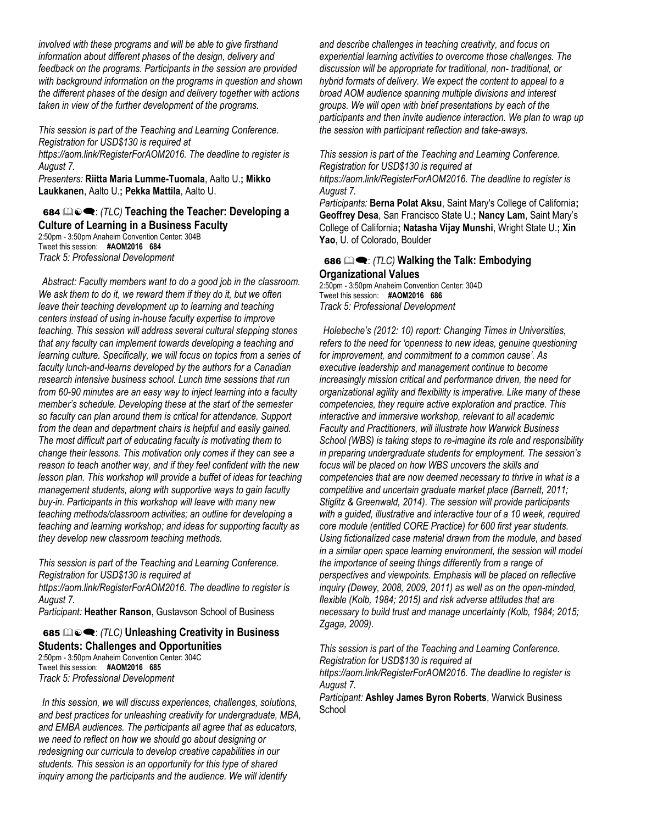*involved with these programs and will be able to give firsthand information about different phases of the design, delivery and feedback on the programs. Participants in the session are provided with background information on the programs in question and shown the different phases of the design and delivery together with actions taken in view of the further development of the programs.* 

*This session is part of the Teaching and Learning Conference. Registration for USD\$130 is required at https://aom.link/RegisterForAOM2016. The deadline to register is August 7.*

*Presenters:* **Riitta Maria Lumme-Tuomala**, Aalto U.**; Mikko Laukkanen**, Aalto U.**; Pekka Mattila**, Aalto U.

#### 684  $\mathbb{Q}_2 \cdot (TLC)$  Teaching the Teacher: Developing a **Culture of Learning in a Business Faculty** 2:50pm - 3:50pm Anaheim Convention Center: 304B Tweet this session: **#AOM2016 684** *Track 5: Professional Development*

*Abstract: Faculty members want to do a good job in the classroom. We ask them to do it, we reward them if they do it, but we often leave their teaching development up to learning and teaching centers instead of using in-house faculty expertise to improve teaching. This session will address several cultural stepping stones that any faculty can implement towards developing a teaching and learning culture. Specifically, we will focus on topics from a series of faculty lunch-and-learns developed by the authors for a Canadian research intensive business school. Lunch time sessions that run from 60-90 minutes are an easy way to inject learning into a faculty member's schedule. Developing these at the start of the semester so faculty can plan around them is critical for attendance. Support from the dean and department chairs is helpful and easily gained. The most difficult part of educating faculty is motivating them to change their lessons. This motivation only comes if they can see a reason to teach another way, and if they feel confident with the new lesson plan. This workshop will provide a buffet of ideas for teaching management students, along with supportive ways to gain faculty buy-in. Participants in this workshop will leave with many new teaching methods/classroom activities; an outline for developing a teaching and learning workshop; and ideas for supporting faculty as they develop new classroom teaching methods.* 

*This session is part of the Teaching and Learning Conference. Registration for USD\$130 is required at https://aom.link/RegisterForAOM2016. The deadline to register is August 7.*

*Participant:* **Heather Ranson**, Gustavson School of Business

#### 685  $\mathbb{Q}_0 \bullet$ : *(TLC)* Unleashing Creativity in Business **Students: Challenges and Opportunities**

2:50pm - 3:50pm Anaheim Convention Center: 304C Tweet this session: **#AOM2016 685** *Track 5: Professional Development* 

*In this session, we will discuss experiences, challenges, solutions, and best practices for unleashing creativity for undergraduate, MBA, and EMBA audiences. The participants all agree that as educators, we need to reflect on how we should go about designing or redesigning our curricula to develop creative capabilities in our students. This session is an opportunity for this type of shared inquiry among the participants and the audience. We will identify* 

*and describe challenges in teaching creativity, and focus on experiential learning activities to overcome those challenges. The discussion will be appropriate for traditional, non- traditional, or hybrid formats of delivery. We expect the content to appeal to a broad AOM audience spanning multiple divisions and interest groups. We will open with brief presentations by each of the participants and then invite audience interaction. We plan to wrap up the session with participant reflection and take-aways.* 

*This session is part of the Teaching and Learning Conference. Registration for USD\$130 is required at* 

*https://aom.link/RegisterForAOM2016. The deadline to register is August 7.*

*Participants:* **Berna Polat Aksu**, Saint Mary's College of California**; Geoffrey Desa**, San Francisco State U.**; Nancy Lam**, Saint Mary's College of California**; Natasha Vijay Munshi**, Wright State U.**; Xin Yao**, U. of Colorado, Boulder

#### 686  $\mathbb{Q}$  **•** *(TLC)* Walking the Talk: Embodying **Organizational Values**

2:50pm - 3:50pm Anaheim Convention Center: 304D Tweet this session: **#AOM2016 686** *Track 5: Professional Development* 

*Holebeche's (2012: 10) report: Changing Times in Universities, refers to the need for 'openness to new ideas, genuine questioning for improvement, and commitment to a common cause'. As executive leadership and management continue to become increasingly mission critical and performance driven, the need for organizational agility and flexibility is imperative. Like many of these competencies, they require active exploration and practice. This interactive and immersive workshop, relevant to all academic Faculty and Practitioners, will illustrate how Warwick Business School (WBS) is taking steps to re-imagine its role and responsibility in preparing undergraduate students for employment. The session's focus will be placed on how WBS uncovers the skills and competencies that are now deemed necessary to thrive in what is a competitive and uncertain graduate market place (Barnett, 2011; Stiglitz & Greenwald, 2014). The session will provide participants with a guided, illustrative and interactive tour of a 10 week, required core module (entitled CORE Practice) for 600 first year students. Using fictionalized case material drawn from the module, and based in a similar open space learning environment, the session will model the importance of seeing things differently from a range of perspectives and viewpoints. Emphasis will be placed on reflective inquiry (Dewey, 2008, 2009, 2011) as well as on the open-minded, flexible (Kolb, 1984; 2015) and risk adverse attitudes that are necessary to build trust and manage uncertainty (Kolb, 1984; 2015; Zgaga, 2009).* 

*This session is part of the Teaching and Learning Conference. Registration for USD\$130 is required at https://aom.link/RegisterForAOM2016. The deadline to register is August 7.*

*Participant:* **Ashley James Byron Roberts**, Warwick Business **School**